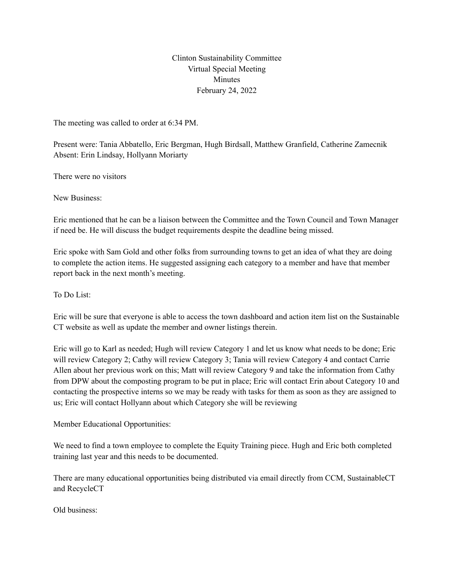Clinton Sustainability Committee Virtual Special Meeting **Minutes** February 24, 2022

The meeting was called to order at 6:34 PM.

Present were: Tania Abbatello, Eric Bergman, Hugh Birdsall, Matthew Granfield, Catherine Zamecnik Absent: Erin Lindsay, Hollyann Moriarty

There were no visitors

New Business:

Eric mentioned that he can be a liaison between the Committee and the Town Council and Town Manager if need be. He will discuss the budget requirements despite the deadline being missed.

Eric spoke with Sam Gold and other folks from surrounding towns to get an idea of what they are doing to complete the action items. He suggested assigning each category to a member and have that member report back in the next month's meeting.

To Do List:

Eric will be sure that everyone is able to access the town dashboard and action item list on the Sustainable CT website as well as update the member and owner listings therein.

Eric will go to Karl as needed; Hugh will review Category 1 and let us know what needs to be done; Eric will review Category 2; Cathy will review Category 3; Tania will review Category 4 and contact Carrie Allen about her previous work on this; Matt will review Category 9 and take the information from Cathy from DPW about the composting program to be put in place; Eric will contact Erin about Category 10 and contacting the prospective interns so we may be ready with tasks for them as soon as they are assigned to us; Eric will contact Hollyann about which Category she will be reviewing

Member Educational Opportunities:

We need to find a town employee to complete the Equity Training piece. Hugh and Eric both completed training last year and this needs to be documented.

There are many educational opportunities being distributed via email directly from CCM, SustainableCT and RecycleCT

Old business: